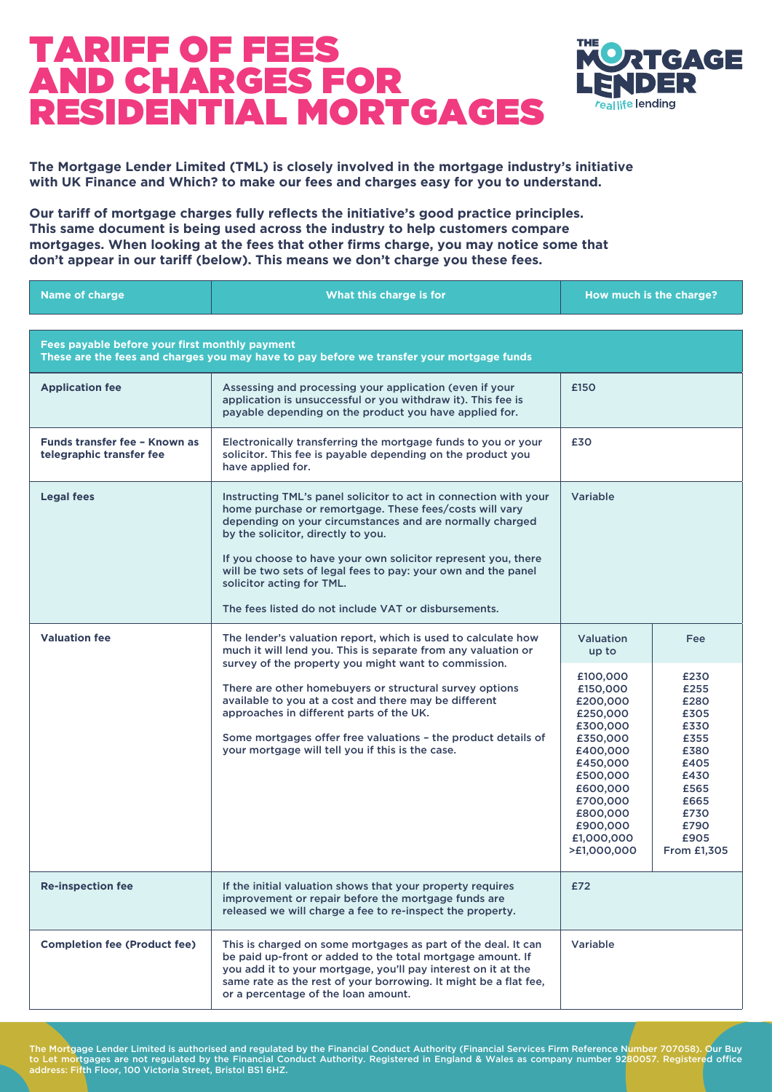

**The Mortgage Lender Limited (TML) is closely involved in the mortgage industry's initiative with UK Finance and Which? to make our fees and charges easy for you to understand.**

**Our tariff of mortgage charges fully reflects the initiative's good practice principles. This same document is being used across the industry to help customers compare mortgages. When looking at the fees that other firms charge, you may notice some that don't appear in our tariff (below). This means we don't charge you these fees.**

| <b>Name of charge</b>                                     | What this charge is for                                                                                                                                                                                                                                                                                                                                                                                                                              |                                                                                                                                                                                       | How much is the charge?                                                                                                     |
|-----------------------------------------------------------|------------------------------------------------------------------------------------------------------------------------------------------------------------------------------------------------------------------------------------------------------------------------------------------------------------------------------------------------------------------------------------------------------------------------------------------------------|---------------------------------------------------------------------------------------------------------------------------------------------------------------------------------------|-----------------------------------------------------------------------------------------------------------------------------|
|                                                           |                                                                                                                                                                                                                                                                                                                                                                                                                                                      |                                                                                                                                                                                       |                                                                                                                             |
| Fees payable before your first monthly payment            | These are the fees and charges you may have to pay before we transfer your mortgage funds                                                                                                                                                                                                                                                                                                                                                            |                                                                                                                                                                                       |                                                                                                                             |
| <b>Application fee</b>                                    | Assessing and processing your application (even if your<br>application is unsuccessful or you withdraw it). This fee is<br>payable depending on the product you have applied for.                                                                                                                                                                                                                                                                    | £150                                                                                                                                                                                  |                                                                                                                             |
| Funds transfer fee - Known as<br>telegraphic transfer fee | Electronically transferring the mortgage funds to you or your<br>solicitor. This fee is payable depending on the product you<br>have applied for.                                                                                                                                                                                                                                                                                                    | £30                                                                                                                                                                                   |                                                                                                                             |
| <b>Legal fees</b>                                         | Instructing TML's panel solicitor to act in connection with your<br>home purchase or remortgage. These fees/costs will vary<br>depending on your circumstances and are normally charged<br>by the solicitor, directly to you.<br>If you choose to have your own solicitor represent you, there<br>will be two sets of legal fees to pay: your own and the panel<br>solicitor acting for TML.<br>The fees listed do not include VAT or disbursements. | <b>Variable</b>                                                                                                                                                                       |                                                                                                                             |
| <b>Valuation fee</b>                                      | The lender's valuation report, which is used to calculate how<br>much it will lend you. This is separate from any valuation or                                                                                                                                                                                                                                                                                                                       | <b>Valuation</b><br>up to                                                                                                                                                             | Fee                                                                                                                         |
|                                                           | survey of the property you might want to commission.<br>There are other homebuyers or structural survey options<br>available to you at a cost and there may be different<br>approaches in different parts of the UK.<br>Some mortgages offer free valuations - the product details of<br>your mortgage will tell you if this is the case.                                                                                                            | £100,000<br>£150,000<br>£200,000<br>£250,000<br>£300,000<br>£350,000<br>£400,000<br>£450,000<br>£500,000<br>£600,000<br>£700,000<br>£800,000<br>£900,000<br>£1,000,000<br>>£1,000,000 | £230<br>£255<br>£280<br>£305<br>£330<br>£355<br>£380<br>£405<br>£430<br>£565<br>£665<br>£730<br>£790<br>£905<br>From £1,305 |
| <b>Re-inspection fee</b>                                  | If the initial valuation shows that your property requires<br>improvement or repair before the mortgage funds are<br>released we will charge a fee to re-inspect the property.                                                                                                                                                                                                                                                                       | £72                                                                                                                                                                                   |                                                                                                                             |
| <b>Completion fee (Product fee)</b>                       | This is charged on some mortgages as part of the deal. It can<br>be paid up-front or added to the total mortgage amount. If<br>you add it to your mortgage, you'll pay interest on it at the<br>same rate as the rest of your borrowing. It might be a flat fee,<br>or a percentage of the loan amount.                                                                                                                                              | Variable                                                                                                                                                                              |                                                                                                                             |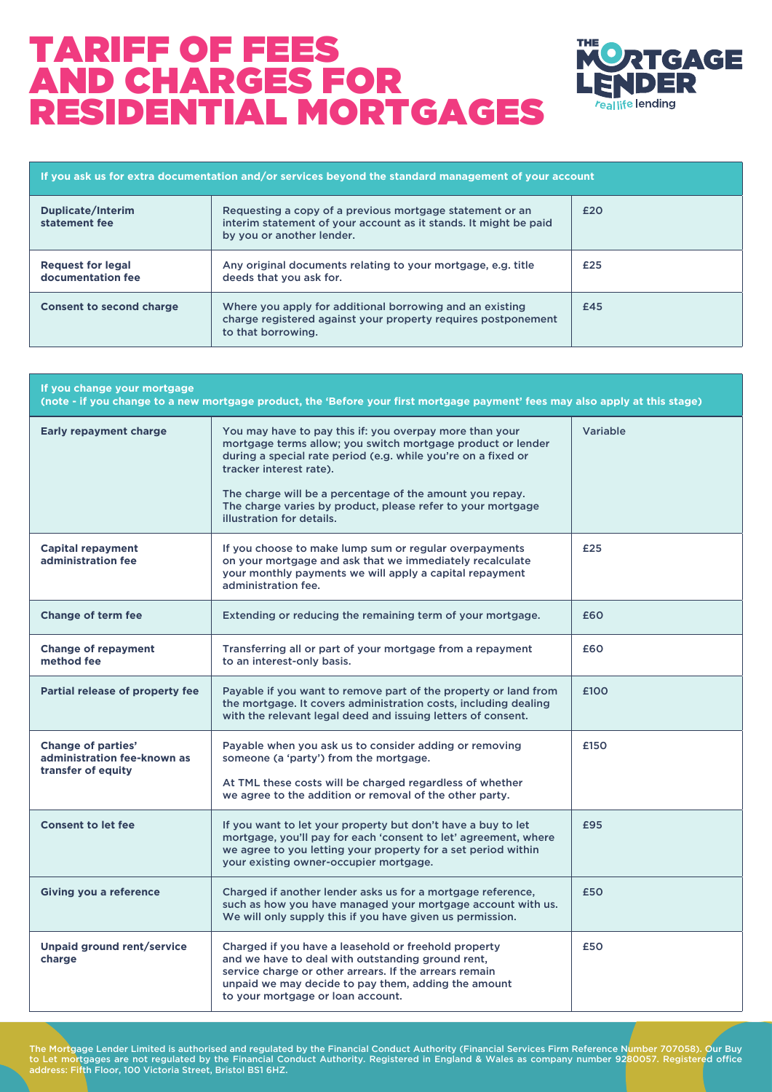

| If you ask us for extra documentation and/or services beyond the standard management of your account |                                                                                                                                                           |     |
|------------------------------------------------------------------------------------------------------|-----------------------------------------------------------------------------------------------------------------------------------------------------------|-----|
| Duplicate/Interim<br>statement fee                                                                   | Requesting a copy of a previous mortgage statement or an<br>interim statement of your account as it stands. It might be paid<br>by you or another lender. | £20 |
| <b>Request for legal</b><br>documentation fee                                                        | Any original documents relating to your mortgage, e.g. title<br>deeds that you ask for.                                                                   | £25 |
| <b>Consent to second charge</b>                                                                      | Where you apply for additional borrowing and an existing<br>charge registered against your property requires postponement<br>to that borrowing.           | £45 |

| If you change your mortgage<br>(note - if you change to a new mortgage product, the 'Before your first mortgage payment' fees may also apply at this stage) |                                                                                                                                                                                                                                                                                                                                                                            |                 |  |
|-------------------------------------------------------------------------------------------------------------------------------------------------------------|----------------------------------------------------------------------------------------------------------------------------------------------------------------------------------------------------------------------------------------------------------------------------------------------------------------------------------------------------------------------------|-----------------|--|
| <b>Early repayment charge</b>                                                                                                                               | You may have to pay this if: you overpay more than your<br>mortgage terms allow; you switch mortgage product or lender<br>during a special rate period (e.g. while you're on a fixed or<br>tracker interest rate).<br>The charge will be a percentage of the amount you repay.<br>The charge varies by product, please refer to your mortgage<br>illustration for details. | <b>Variable</b> |  |
| <b>Capital repayment</b><br>administration fee                                                                                                              | If you choose to make lump sum or regular overpayments<br>on your mortgage and ask that we immediately recalculate<br>your monthly payments we will apply a capital repayment<br>administration fee.                                                                                                                                                                       | £25             |  |
| <b>Change of term fee</b>                                                                                                                                   | Extending or reducing the remaining term of your mortgage.                                                                                                                                                                                                                                                                                                                 | £60             |  |
| <b>Change of repayment</b><br>method fee                                                                                                                    | Transferring all or part of your mortgage from a repayment<br>to an interest-only basis.                                                                                                                                                                                                                                                                                   | £60             |  |
| Partial release of property fee                                                                                                                             | Payable if you want to remove part of the property or land from<br>the mortgage. It covers administration costs, including dealing<br>with the relevant legal deed and issuing letters of consent.                                                                                                                                                                         | £100            |  |
| Change of parties'<br>administration fee-known as<br>transfer of equity                                                                                     | Payable when you ask us to consider adding or removing<br>someone (a 'party') from the mortgage.<br>At TML these costs will be charged regardless of whether<br>we agree to the addition or removal of the other party.                                                                                                                                                    | £150            |  |
| <b>Consent to let fee</b>                                                                                                                                   | If you want to let your property but don't have a buy to let<br>mortgage, you'll pay for each 'consent to let' agreement, where<br>we agree to you letting your property for a set period within<br>your existing owner-occupier mortgage.                                                                                                                                 | £95             |  |
| <b>Giving you a reference</b>                                                                                                                               | Charged if another lender asks us for a mortgage reference,<br>such as how you have managed your mortgage account with us.<br>We will only supply this if you have given us permission.                                                                                                                                                                                    | £50             |  |
| Unpaid ground rent/service<br>charge                                                                                                                        | Charged if you have a leasehold or freehold property<br>and we have to deal with outstanding ground rent.<br>service charge or other arrears. If the arrears remain<br>unpaid we may decide to pay them, adding the amount<br>to your mortgage or loan account.                                                                                                            | £50             |  |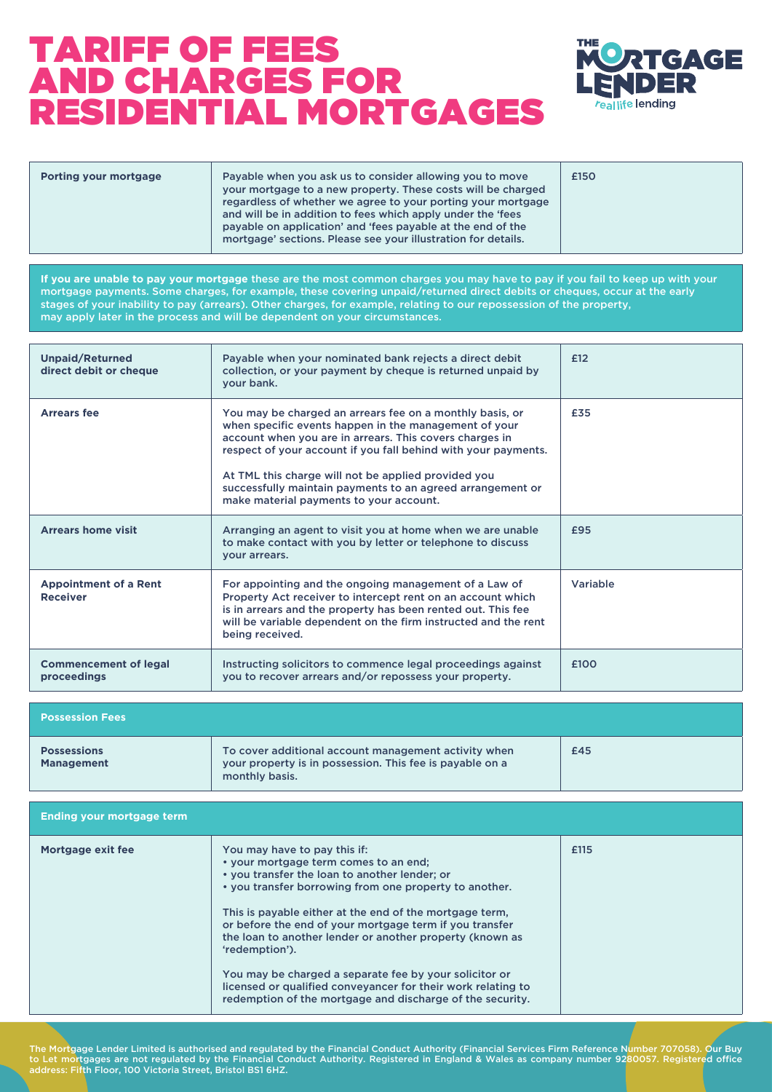

| regardless of whether we agree to your porting your mortgage<br>and will be in addition to fees which apply under the 'fees<br>payable on application' and 'fees payable at the end of the<br>mortgage' sections. Please see your illustration for details. | Payable when you ask us to consider allowing you to move<br>Porting your mortgage | your mortgage to a new property. These costs will be charged | £150 |  |
|-------------------------------------------------------------------------------------------------------------------------------------------------------------------------------------------------------------------------------------------------------------|-----------------------------------------------------------------------------------|--------------------------------------------------------------|------|--|
|-------------------------------------------------------------------------------------------------------------------------------------------------------------------------------------------------------------------------------------------------------------|-----------------------------------------------------------------------------------|--------------------------------------------------------------|------|--|

**If you are unable to pay your mortgage** these are the most common charges you may have to pay if you fail to keep up with your mortgage payments. Some charges, for example, these covering unpaid/returned direct debits or cheques, occur at the early stages of your inability to pay (arrears). Other charges, for example, relating to our repossession of the property, may apply later in the process and will be dependent on your circumstances.

| <b>Unpaid/Returned</b><br>direct debit or cheque | Payable when your nominated bank rejects a direct debit<br>collection, or your payment by cheque is returned unpaid by<br>your bank.                                                                                                                                                                                                                                                                           | £12      |
|--------------------------------------------------|----------------------------------------------------------------------------------------------------------------------------------------------------------------------------------------------------------------------------------------------------------------------------------------------------------------------------------------------------------------------------------------------------------------|----------|
| <b>Arrears fee</b>                               | You may be charged an arrears fee on a monthly basis, or<br>when specific events happen in the management of your<br>account when you are in arrears. This covers charges in<br>respect of your account if you fall behind with your payments.<br>At TML this charge will not be applied provided you<br>successfully maintain payments to an agreed arrangement or<br>make material payments to your account. | £35      |
| <b>Arrears home visit</b>                        | Arranging an agent to visit you at home when we are unable<br>to make contact with you by letter or telephone to discuss<br>vour arrears.                                                                                                                                                                                                                                                                      | £95      |
| <b>Appointment of a Rent</b><br><b>Receiver</b>  | For appointing and the ongoing management of a Law of<br>Property Act receiver to intercept rent on an account which<br>is in arrears and the property has been rented out. This fee<br>will be variable dependent on the firm instructed and the rent<br>being received.                                                                                                                                      | Variable |
| <b>Commencement of legal</b><br>proceedings      | Instructing solicitors to commence legal proceedings against<br>you to recover arrears and/or repossess your property.                                                                                                                                                                                                                                                                                         | £100     |

| <b>Possession Fees</b>                  |                                                                                                                                    |     |
|-----------------------------------------|------------------------------------------------------------------------------------------------------------------------------------|-----|
| <b>Possessions</b><br><b>Management</b> | To cover additional account management activity when<br>your property is in possession. This fee is payable on a<br>monthly basis. | £45 |

| <b>Ending your mortgage term</b> |                                                                                                                                                                                                                                                                                                                                                                                                                                                                                                                                                                             |      |
|----------------------------------|-----------------------------------------------------------------------------------------------------------------------------------------------------------------------------------------------------------------------------------------------------------------------------------------------------------------------------------------------------------------------------------------------------------------------------------------------------------------------------------------------------------------------------------------------------------------------------|------|
| Mortgage exit fee                | You may have to pay this if:<br>. your mortgage term comes to an end;<br>. you transfer the loan to another lender; or<br>• you transfer borrowing from one property to another.<br>This is payable either at the end of the mortgage term,<br>or before the end of your mortgage term if you transfer<br>the loan to another lender or another property (known as<br>'redemption').<br>You may be charged a separate fee by your solicitor or<br>licensed or qualified conveyancer for their work relating to<br>redemption of the mortgage and discharge of the security. | £115 |